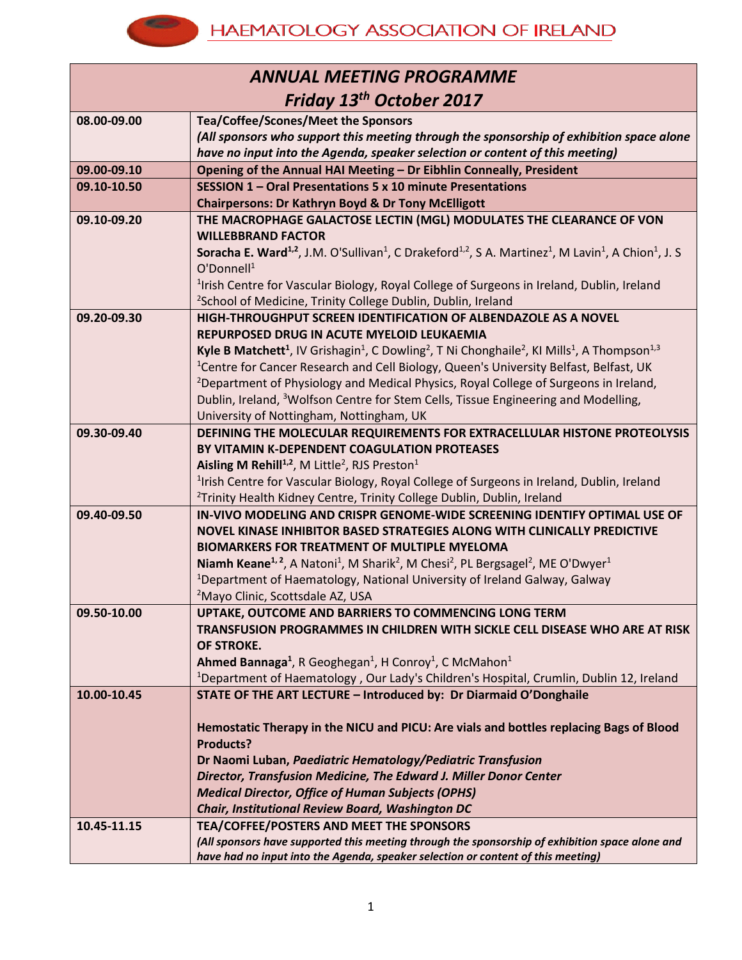

| <b>ANNUAL MEETING PROGRAMME</b> |                                                                                                                                                                                     |  |
|---------------------------------|-------------------------------------------------------------------------------------------------------------------------------------------------------------------------------------|--|
| Friday 13th October 2017        |                                                                                                                                                                                     |  |
| 08.00-09.00                     | Tea/Coffee/Scones/Meet the Sponsors                                                                                                                                                 |  |
|                                 | (All sponsors who support this meeting through the sponsorship of exhibition space alone                                                                                            |  |
|                                 | have no input into the Agenda, speaker selection or content of this meeting)                                                                                                        |  |
| 09.00-09.10                     | Opening of the Annual HAI Meeting - Dr Eibhlin Conneally, President                                                                                                                 |  |
| 09.10-10.50                     | SESSION 1 - Oral Presentations 5 x 10 minute Presentations                                                                                                                          |  |
|                                 | <b>Chairpersons: Dr Kathryn Boyd &amp; Dr Tony McElligott</b>                                                                                                                       |  |
| 09.10-09.20                     | THE MACROPHAGE GALACTOSE LECTIN (MGL) MODULATES THE CLEARANCE OF VON                                                                                                                |  |
|                                 | <b>WILLEBBRAND FACTOR</b>                                                                                                                                                           |  |
|                                 | <b>Soracha E. Ward</b> <sup>1,2</sup> , J.M. O'Sullivan <sup>1</sup> , C Drakeford <sup>1,2</sup> , S A. Martinez <sup>1</sup> , M Lavin <sup>1</sup> , A Chion <sup>1</sup> , J. S |  |
|                                 | $O'D$ onnell $1$                                                                                                                                                                    |  |
|                                 | <sup>1</sup> Irish Centre for Vascular Biology, Royal College of Surgeons in Ireland, Dublin, Ireland                                                                               |  |
|                                 | <sup>2</sup> School of Medicine, Trinity College Dublin, Dublin, Ireland                                                                                                            |  |
| 09.20-09.30                     | HIGH-THROUGHPUT SCREEN IDENTIFICATION OF ALBENDAZOLE AS A NOVEL<br>REPURPOSED DRUG IN ACUTE MYELOID LEUKAEMIA                                                                       |  |
|                                 | Kyle B Matchett <sup>1</sup> , IV Grishagin <sup>1</sup> , C Dowling <sup>2</sup> , T Ni Chonghaile <sup>2</sup> , KI Mills <sup>1</sup> , A Thompson <sup>1,3</sup>                |  |
|                                 | <sup>1</sup> Centre for Cancer Research and Cell Biology, Queen's University Belfast, Belfast, UK                                                                                   |  |
|                                 | <sup>2</sup> Department of Physiology and Medical Physics, Royal College of Surgeons in Ireland,                                                                                    |  |
|                                 | Dublin, Ireland, <sup>3</sup> Wolfson Centre for Stem Cells, Tissue Engineering and Modelling,                                                                                      |  |
|                                 | University of Nottingham, Nottingham, UK                                                                                                                                            |  |
| 09.30-09.40                     | DEFINING THE MOLECULAR REQUIREMENTS FOR EXTRACELLULAR HISTONE PROTEOLYSIS                                                                                                           |  |
|                                 | BY VITAMIN K-DEPENDENT COAGULATION PROTEASES                                                                                                                                        |  |
|                                 | Aisling M Rehill <sup>1,2</sup> , M Little <sup>2</sup> , RJS Preston <sup>1</sup>                                                                                                  |  |
|                                 | <sup>1</sup> Irish Centre for Vascular Biology, Royal College of Surgeons in Ireland, Dublin, Ireland                                                                               |  |
|                                 | <sup>2</sup> Trinity Health Kidney Centre, Trinity College Dublin, Dublin, Ireland                                                                                                  |  |
| 09.40-09.50                     | IN-VIVO MODELING AND CRISPR GENOME-WIDE SCREENING IDENTIFY OPTIMAL USE OF                                                                                                           |  |
|                                 | NOVEL KINASE INHIBITOR BASED STRATEGIES ALONG WITH CLINICALLY PREDICTIVE                                                                                                            |  |
|                                 | <b>BIOMARKERS FOR TREATMENT OF MULTIPLE MYELOMA</b>                                                                                                                                 |  |
|                                 | Niamh Keane <sup>1, 2</sup> , A Natoni <sup>1</sup> , M Sharik <sup>2</sup> , M Chesi <sup>2</sup> , PL Bergsagel <sup>2</sup> , ME O'Dwyer <sup>1</sup>                            |  |
|                                 | <sup>1</sup> Department of Haematology, National University of Ireland Galway, Galway                                                                                               |  |
|                                 | <sup>2</sup> Mayo Clinic, Scottsdale AZ, USA                                                                                                                                        |  |
| 09.50-10.00                     | UPTAKE, OUTCOME AND BARRIERS TO COMMENCING LONG TERM                                                                                                                                |  |
|                                 | TRANSFUSION PROGRAMMES IN CHILDREN WITH SICKLE CELL DISEASE WHO ARE AT RISK                                                                                                         |  |
|                                 | OF STROKE.                                                                                                                                                                          |  |
|                                 | Ahmed Bannaga <sup>1</sup> , R Geoghegan <sup>1</sup> , H Conroy <sup>1</sup> , C McMahon <sup>1</sup>                                                                              |  |
|                                 | <sup>1</sup> Department of Haematology, Our Lady's Children's Hospital, Crumlin, Dublin 12, Ireland                                                                                 |  |
| 10.00-10.45                     | STATE OF THE ART LECTURE - Introduced by: Dr Diarmaid O'Donghaile                                                                                                                   |  |
|                                 | Hemostatic Therapy in the NICU and PICU: Are vials and bottles replacing Bags of Blood                                                                                              |  |
|                                 | <b>Products?</b>                                                                                                                                                                    |  |
|                                 | Dr Naomi Luban, Paediatric Hematology/Pediatric Transfusion                                                                                                                         |  |
|                                 | Director, Transfusion Medicine, The Edward J. Miller Donor Center                                                                                                                   |  |
|                                 | <b>Medical Director, Office of Human Subjects (OPHS)</b>                                                                                                                            |  |
|                                 | Chair, Institutional Review Board, Washington DC                                                                                                                                    |  |
| 10.45-11.15                     | TEA/COFFEE/POSTERS AND MEET THE SPONSORS                                                                                                                                            |  |
|                                 | (All sponsors have supported this meeting through the sponsorship of exhibition space alone and                                                                                     |  |
|                                 | have had no input into the Agenda, speaker selection or content of this meeting)                                                                                                    |  |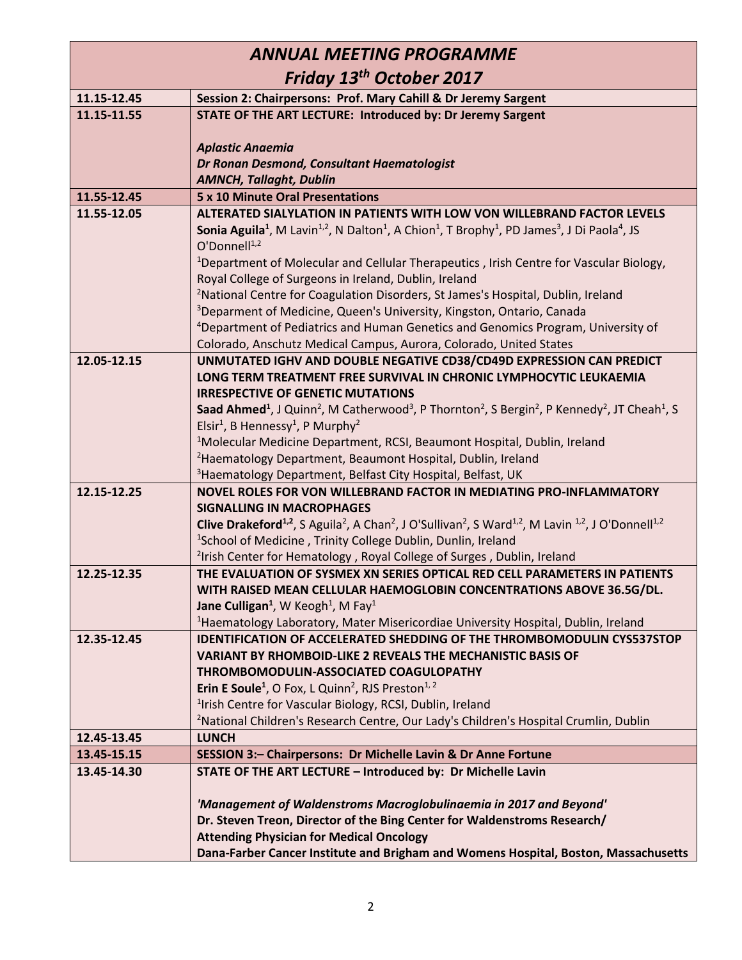| <b>ANNUAL MEETING PROGRAMME</b>                                                                                                                                                                                                                                                                                                               |  |  |
|-----------------------------------------------------------------------------------------------------------------------------------------------------------------------------------------------------------------------------------------------------------------------------------------------------------------------------------------------|--|--|
| Friday 13 <sup>th</sup> October 2017                                                                                                                                                                                                                                                                                                          |  |  |
|                                                                                                                                                                                                                                                                                                                                               |  |  |
|                                                                                                                                                                                                                                                                                                                                               |  |  |
|                                                                                                                                                                                                                                                                                                                                               |  |  |
|                                                                                                                                                                                                                                                                                                                                               |  |  |
|                                                                                                                                                                                                                                                                                                                                               |  |  |
|                                                                                                                                                                                                                                                                                                                                               |  |  |
|                                                                                                                                                                                                                                                                                                                                               |  |  |
| ALTERATED SIALYLATION IN PATIENTS WITH LOW VON WILLEBRAND FACTOR LEVELS                                                                                                                                                                                                                                                                       |  |  |
|                                                                                                                                                                                                                                                                                                                                               |  |  |
| <sup>1</sup> Department of Molecular and Cellular Therapeutics, Irish Centre for Vascular Biology,                                                                                                                                                                                                                                            |  |  |
|                                                                                                                                                                                                                                                                                                                                               |  |  |
|                                                                                                                                                                                                                                                                                                                                               |  |  |
|                                                                                                                                                                                                                                                                                                                                               |  |  |
|                                                                                                                                                                                                                                                                                                                                               |  |  |
|                                                                                                                                                                                                                                                                                                                                               |  |  |
|                                                                                                                                                                                                                                                                                                                                               |  |  |
|                                                                                                                                                                                                                                                                                                                                               |  |  |
|                                                                                                                                                                                                                                                                                                                                               |  |  |
| Saad Ahmed <sup>1</sup> , J Quinn <sup>2</sup> , M Catherwood <sup>3</sup> , P Thornton <sup>2</sup> , S Bergin <sup>2</sup> , P Kennedy <sup>2</sup> , JT Cheah <sup>1</sup> , S                                                                                                                                                             |  |  |
|                                                                                                                                                                                                                                                                                                                                               |  |  |
|                                                                                                                                                                                                                                                                                                                                               |  |  |
|                                                                                                                                                                                                                                                                                                                                               |  |  |
|                                                                                                                                                                                                                                                                                                                                               |  |  |
|                                                                                                                                                                                                                                                                                                                                               |  |  |
|                                                                                                                                                                                                                                                                                                                                               |  |  |
|                                                                                                                                                                                                                                                                                                                                               |  |  |
|                                                                                                                                                                                                                                                                                                                                               |  |  |
| THE EVALUATION OF SYSMEX XN SERIES OPTICAL RED CELL PARAMETERS IN PATIENTS                                                                                                                                                                                                                                                                    |  |  |
|                                                                                                                                                                                                                                                                                                                                               |  |  |
|                                                                                                                                                                                                                                                                                                                                               |  |  |
|                                                                                                                                                                                                                                                                                                                                               |  |  |
| <b>IDENTIFICATION OF ACCELERATED SHEDDING OF THE THROMBOMODULIN CYS537STOP</b>                                                                                                                                                                                                                                                                |  |  |
|                                                                                                                                                                                                                                                                                                                                               |  |  |
|                                                                                                                                                                                                                                                                                                                                               |  |  |
|                                                                                                                                                                                                                                                                                                                                               |  |  |
|                                                                                                                                                                                                                                                                                                                                               |  |  |
|                                                                                                                                                                                                                                                                                                                                               |  |  |
|                                                                                                                                                                                                                                                                                                                                               |  |  |
|                                                                                                                                                                                                                                                                                                                                               |  |  |
|                                                                                                                                                                                                                                                                                                                                               |  |  |
|                                                                                                                                                                                                                                                                                                                                               |  |  |
|                                                                                                                                                                                                                                                                                                                                               |  |  |
|                                                                                                                                                                                                                                                                                                                                               |  |  |
| Dana-Farber Cancer Institute and Brigham and Womens Hospital, Boston, Massachusetts                                                                                                                                                                                                                                                           |  |  |
| UNMUTATED IGHV AND DOUBLE NEGATIVE CD38/CD49D EXPRESSION CAN PREDICT<br><b>Clive Drakeford</b> <sup>1,2</sup> , S Aguila <sup>2</sup> , A Chan <sup>2</sup> , J O'Sullivan <sup>2</sup> , S Ward <sup>1,2</sup> , M Lavin <sup>1,2</sup> , J O'Donnell <sup>1,2</sup><br>WITH RAISED MEAN CELLULAR HAEMOGLOBIN CONCENTRATIONS ABOVE 36.5G/DL. |  |  |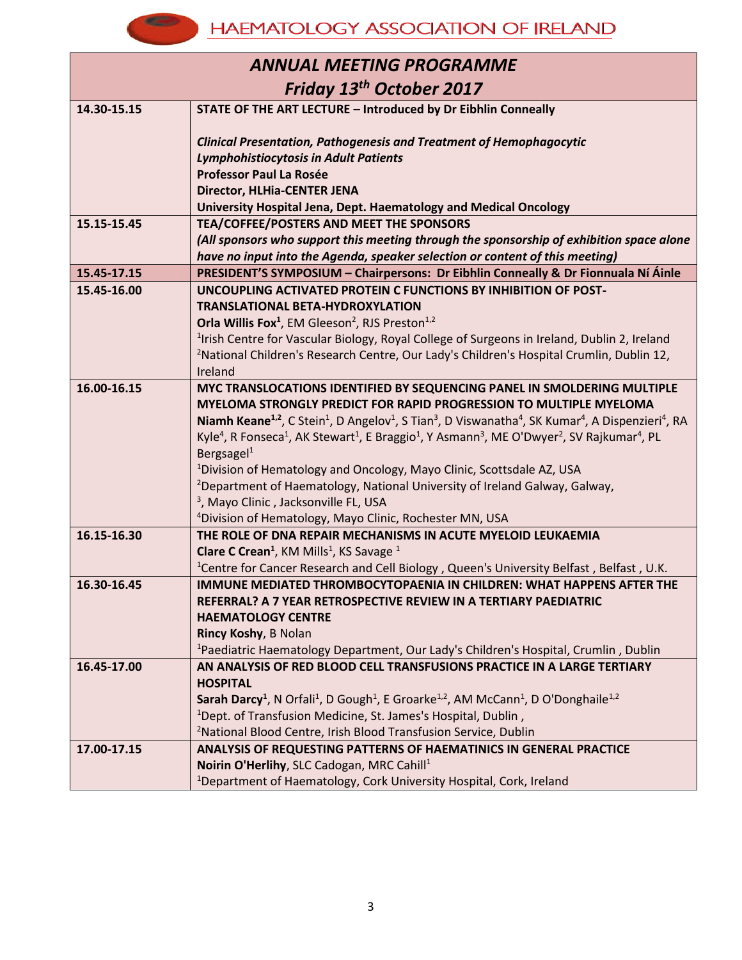#### **HAEMATOLOGY ASSOCIATION OF IRELAND**

**Kanp** 

| <b>ANNUAL MEETING PROGRAMME</b> |                                                                                                                                                                                        |  |
|---------------------------------|----------------------------------------------------------------------------------------------------------------------------------------------------------------------------------------|--|
| Friday 13th October 2017        |                                                                                                                                                                                        |  |
| 14.30-15.15                     | STATE OF THE ART LECTURE - Introduced by Dr Eibhlin Conneally                                                                                                                          |  |
|                                 | <b>Clinical Presentation, Pathogenesis and Treatment of Hemophagocytic</b>                                                                                                             |  |
|                                 | <b>Lymphohistiocytosis in Adult Patients</b>                                                                                                                                           |  |
|                                 | <b>Professor Paul La Rosée</b>                                                                                                                                                         |  |
|                                 | Director, HLHia-CENTER JENA                                                                                                                                                            |  |
|                                 | University Hospital Jena, Dept. Haematology and Medical Oncology                                                                                                                       |  |
| 15.15-15.45                     | <b>TEA/COFFEE/POSTERS AND MEET THE SPONSORS</b>                                                                                                                                        |  |
|                                 | (All sponsors who support this meeting through the sponsorship of exhibition space alone                                                                                               |  |
|                                 | have no input into the Agenda, speaker selection or content of this meeting)                                                                                                           |  |
| 15.45-17.15                     | PRESIDENT'S SYMPOSIUM - Chairpersons: Dr Eibhlin Conneally & Dr Fionnuala Ní Áinle                                                                                                     |  |
| 15.45-16.00                     | UNCOUPLING ACTIVATED PROTEIN C FUNCTIONS BY INHIBITION OF POST-                                                                                                                        |  |
|                                 | <b>TRANSLATIONAL BETA-HYDROXYLATION</b>                                                                                                                                                |  |
|                                 | Orla Willis Fox <sup>1</sup> , EM Gleeson <sup>2</sup> , RJS Preston <sup>1,2</sup>                                                                                                    |  |
|                                 | <sup>1</sup> Irish Centre for Vascular Biology, Royal College of Surgeons in Ireland, Dublin 2, Ireland                                                                                |  |
|                                 | <sup>2</sup> National Children's Research Centre, Our Lady's Children's Hospital Crumlin, Dublin 12,                                                                                   |  |
| 16.00-16.15                     | Ireland                                                                                                                                                                                |  |
|                                 | MYC TRANSLOCATIONS IDENTIFIED BY SEQUENCING PANEL IN SMOLDERING MULTIPLE<br>MYELOMA STRONGLY PREDICT FOR RAPID PROGRESSION TO MULTIPLE MYELOMA                                         |  |
|                                 | Niamh Keane <sup>1,2</sup> , C Stein <sup>1</sup> , D Angelov <sup>1</sup> , S Tian <sup>3</sup> , D Viswanatha <sup>4</sup> , SK Kumar <sup>4</sup> , A Dispenzieri <sup>4</sup> , RA |  |
|                                 | Kyle <sup>4</sup> , R Fonseca <sup>1</sup> , AK Stewart <sup>1</sup> , E Braggio <sup>1</sup> , Y Asmann <sup>3</sup> , ME O'Dwyer <sup>2</sup> , SV Rajkumar <sup>4</sup> , PL        |  |
|                                 | Bergsagel <sup>1</sup>                                                                                                                                                                 |  |
|                                 | <sup>1</sup> Division of Hematology and Oncology, Mayo Clinic, Scottsdale AZ, USA                                                                                                      |  |
|                                 | <sup>2</sup> Department of Haematology, National University of Ireland Galway, Galway,                                                                                                 |  |
|                                 | <sup>3</sup> , Mayo Clinic, Jacksonville FL, USA                                                                                                                                       |  |
|                                 | <sup>4</sup> Division of Hematology, Mayo Clinic, Rochester MN, USA                                                                                                                    |  |
| 16.15-16.30                     | THE ROLE OF DNA REPAIR MECHANISMS IN ACUTE MYELOID LEUKAEMIA                                                                                                                           |  |
|                                 | Clare C Crean <sup>1</sup> , KM Mills <sup>1</sup> , KS Savage <sup>1</sup>                                                                                                            |  |
|                                 | <sup>1</sup> Centre for Cancer Research and Cell Biology, Queen's University Belfast, Belfast, U.K.                                                                                    |  |
| 16.30-16.45                     | <b>IMMUNE MEDIATED THROMBOCYTOPAENIA IN CHILDREN: WHAT HAPPENS AFTER THE</b>                                                                                                           |  |
|                                 | REFERRAL? A 7 YEAR RETROSPECTIVE REVIEW IN A TERTIARY PAEDIATRIC                                                                                                                       |  |
|                                 | <b>HAEMATOLOGY CENTRE</b>                                                                                                                                                              |  |
|                                 | Rincy Koshy, B Nolan                                                                                                                                                                   |  |
| 16.45-17.00                     | <sup>1</sup> Paediatric Haematology Department, Our Lady's Children's Hospital, Crumlin, Dublin<br>AN ANALYSIS OF RED BLOOD CELL TRANSFUSIONS PRACTICE IN A LARGE TERTIARY             |  |
|                                 | <b>HOSPITAL</b>                                                                                                                                                                        |  |
|                                 | Sarah Darcy <sup>1</sup> , N Orfali <sup>1</sup> , D Gough <sup>1</sup> , E Groarke <sup>1,2</sup> , AM McCann <sup>1</sup> , D O'Donghaile <sup>1,2</sup>                             |  |
|                                 | <sup>1</sup> Dept. of Transfusion Medicine, St. James's Hospital, Dublin,                                                                                                              |  |
|                                 | <sup>2</sup> National Blood Centre, Irish Blood Transfusion Service, Dublin                                                                                                            |  |
| 17.00-17.15                     | ANALYSIS OF REQUESTING PATTERNS OF HAEMATINICS IN GENERAL PRACTICE                                                                                                                     |  |
|                                 | Noirin O'Herlihy, SLC Cadogan, MRC Cahill <sup>1</sup>                                                                                                                                 |  |
|                                 | <sup>1</sup> Department of Haematology, Cork University Hospital, Cork, Ireland                                                                                                        |  |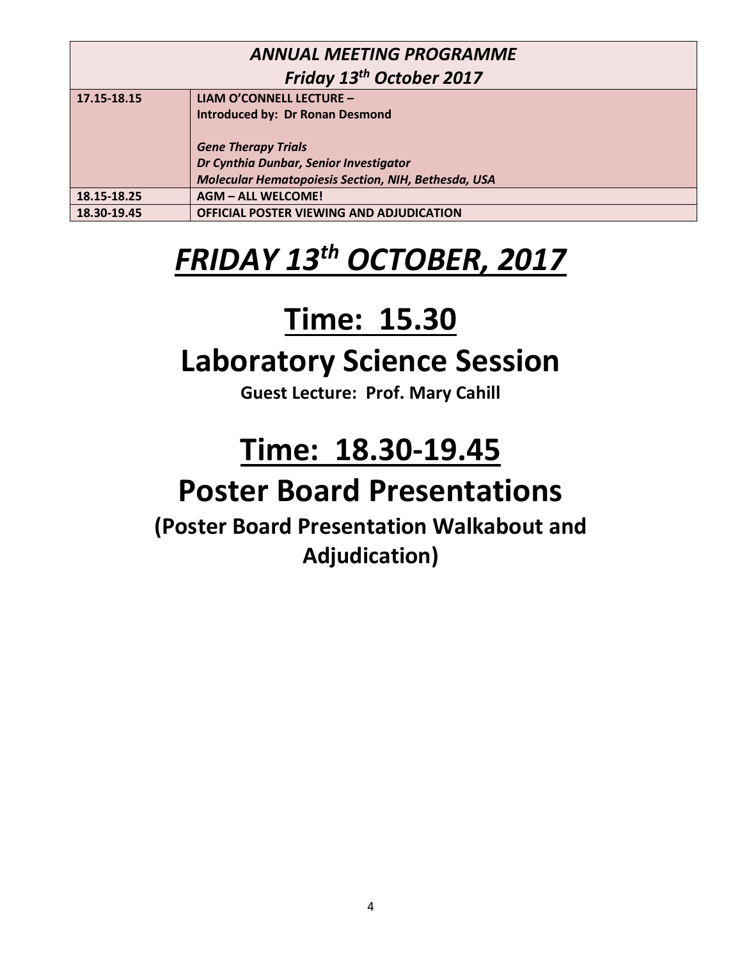| <b>ANNUAL MEETING PROGRAMME</b>      |                                                     |  |
|--------------------------------------|-----------------------------------------------------|--|
| Friday 13 <sup>th</sup> October 2017 |                                                     |  |
| 17.15-18.15                          | LIAM O'CONNELL LECTURE -                            |  |
|                                      | <b>Introduced by: Dr Ronan Desmond</b>              |  |
|                                      |                                                     |  |
|                                      | <b>Gene Therapy Trials</b>                          |  |
|                                      | Dr Cynthia Dunbar, Senior Investigator              |  |
|                                      | Molecular Hematopoiesis Section, NIH, Bethesda, USA |  |
| 18.15-18.25                          | <b>AGM - ALL WELCOME!</b>                           |  |
| 18.30-19.45                          | OFFICIAL POSTER VIEWING AND ADJUDICATION            |  |

# *FRIDAY 13 th OCTOBER, 2017*

## **Time: 15.30**

### **Laboratory Science Session**

**Guest Lecture: Prof. Mary Cahill**

## **Time: 18.30-19.45**

### **Poster Board Presentations**

**(Poster Board Presentation Walkabout and Adjudication)**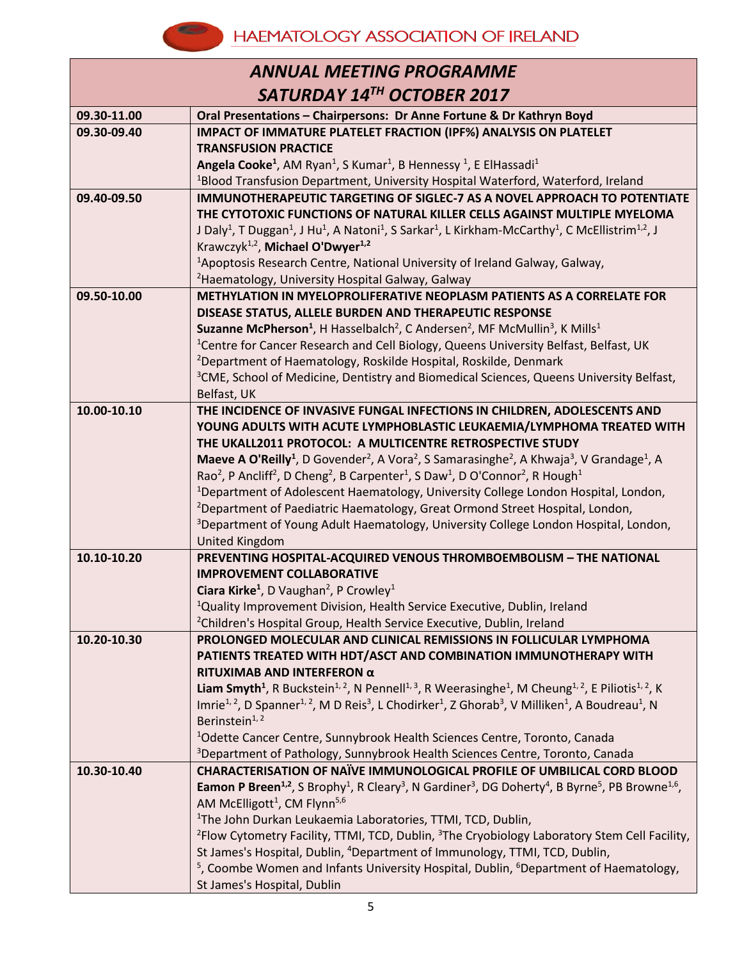